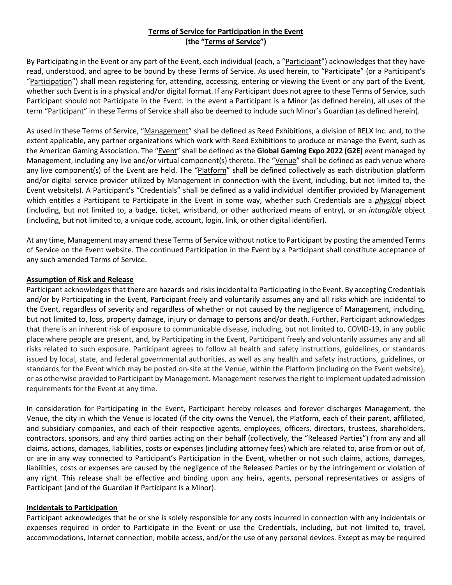## **Terms of Service for Participation in the Event (the "Terms of Service")**

By Participating in the Event or any part of the Event, each individual (each, a "Participant") acknowledges that they have read, understood, and agree to be bound by these Terms of Service. As used herein, to "Participate" (or a Participant's "Participation") shall mean registering for, attending, accessing, entering or viewing the Event or any part of the Event, whether such Event is in a physical and/or digital format. If any Participant does not agree to these Terms of Service, such Participant should not Participate in the Event. In the event a Participant is a Minor (as defined herein), all uses of the term "Participant" in these Terms of Service shall also be deemed to include such Minor's Guardian (as defined herein).

As used in these Terms of Service, "Management" shall be defined as Reed Exhibitions, a division of RELX Inc. and, to the extent applicable, any partner organizations which work with Reed Exhibitions to produce or manage the Event, such as the American Gaming Association. The "Event" shall be defined as the **Global Gaming Expo 2022 (G2E)** event managed by Management, including any live and/or virtual component(s) thereto. The "Venue" shall be defined as each venue where any live component(s) of the Event are held. The "Platform" shall be defined collectively as each distribution platform and/or digital service provider utilized by Management in connection with the Event, including, but not limited to, the Event website(s). A Participant's "Credentials" shall be defined as a valid individual identifier provided by Management which entitles a Participant to Participate in the Event in some way, whether such Credentials are a *physical* object (including, but not limited to, a badge, ticket, wristband, or other authorized means of entry), or an *intangible* object (including, but not limited to, a unique code, account, login, link, or other digital identifier).

At any time, Management may amend these Terms of Service without notice to Participant by posting the amended Terms of Service on the Event website. The continued Participation in the Event by a Participant shall constitute acceptance of any such amended Terms of Service.

### **Assumption of Risk and Release**

Participant acknowledges that there are hazards and risks incidental to Participating in the Event. By accepting Credentials and/or by Participating in the Event, Participant freely and voluntarily assumes any and all risks which are incidental to the Event, regardless of severity and regardless of whether or not caused by the negligence of Management, including, but not limited to, loss, property damage, injury or damage to persons and/or death. Further, Participant acknowledges that there is an inherent risk of exposure to communicable disease, including, but not limited to, COVID-19, in any public place where people are present, and, by Participating in the Event, Participant freely and voluntarily assumes any and all risks related to such exposure. Participant agrees to follow all health and safety instructions, guidelines, or standards issued by local, state, and federal governmental authorities, as well as any health and safety instructions, guidelines, or standards for the Event which may be posted on-site at the Venue, within the Platform (including on the Event website), or as otherwise provided to Participant by Management. Management reserves the right to implement updated admission requirements for the Event at any time.

In consideration for Participating in the Event, Participant hereby releases and forever discharges Management, the Venue, the city in which the Venue is located (if the city owns the Venue), the Platform, each of their parent, affiliated, and subsidiary companies, and each of their respective agents, employees, officers, directors, trustees, shareholders, contractors, sponsors, and any third parties acting on their behalf (collectively, the "Released Parties") from any and all claims, actions, damages, liabilities, costs or expenses (including attorney fees) which are related to, arise from or out of, or are in any way connected to Participant's Participation in the Event, whether or not such claims, actions, damages, liabilities, costs or expenses are caused by the negligence of the Released Parties or by the infringement or violation of any right. This release shall be effective and binding upon any heirs, agents, personal representatives or assigns of Participant (and of the Guardian if Participant is a Minor).

### **Incidentals to Participation**

Participant acknowledges that he or she is solely responsible for any costs incurred in connection with any incidentals or expenses required in order to Participate in the Event or use the Credentials, including, but not limited to, travel, accommodations, Internet connection, mobile access, and/or the use of any personal devices. Except as may be required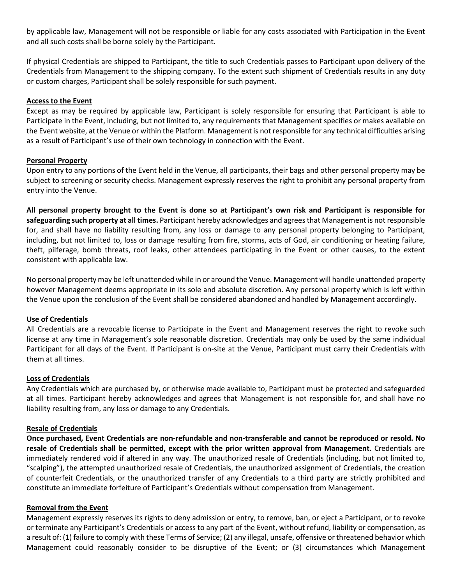by applicable law, Management will not be responsible or liable for any costs associated with Participation in the Event and all such costs shall be borne solely by the Participant.

If physical Credentials are shipped to Participant, the title to such Credentials passes to Participant upon delivery of the Credentials from Management to the shipping company. To the extent such shipment of Credentials results in any duty or custom charges, Participant shall be solely responsible for such payment.

#### **Access to the Event**

Except as may be required by applicable law, Participant is solely responsible for ensuring that Participant is able to Participate in the Event, including, but not limited to, any requirements that Management specifies or makes available on the Event website, at the Venue or within the Platform. Management is not responsible for any technical difficulties arising as a result of Participant's use of their own technology in connection with the Event.

### **Personal Property**

Upon entry to any portions of the Event held in the Venue, all participants, their bags and other personal property may be subject to screening or security checks. Management expressly reserves the right to prohibit any personal property from entry into the Venue.

**All personal property brought to the Event is done so at Participant's own risk and Participant is responsible for safeguarding such property at all times.** Participant hereby acknowledges and agrees that Management is not responsible for, and shall have no liability resulting from, any loss or damage to any personal property belonging to Participant, including, but not limited to, loss or damage resulting from fire, storms, acts of God, air conditioning or heating failure, theft, pilferage, bomb threats, roof leaks, other attendees participating in the Event or other causes, to the extent consistent with applicable law.

No personal property may be left unattended while in or around the Venue. Management will handle unattended property however Management deems appropriate in its sole and absolute discretion. Any personal property which is left within the Venue upon the conclusion of the Event shall be considered abandoned and handled by Management accordingly.

### **Use of Credentials**

All Credentials are a revocable license to Participate in the Event and Management reserves the right to revoke such license at any time in Management's sole reasonable discretion. Credentials may only be used by the same individual Participant for all days of the Event. If Participant is on-site at the Venue, Participant must carry their Credentials with them at all times.

#### **Loss of Credentials**

Any Credentials which are purchased by, or otherwise made available to, Participant must be protected and safeguarded at all times. Participant hereby acknowledges and agrees that Management is not responsible for, and shall have no liability resulting from, any loss or damage to any Credentials.

### **Resale of Credentials**

**Once purchased, Event Credentials are non-refundable and non-transferable and cannot be reproduced or resold. No resale of Credentials shall be permitted, except with the prior written approval from Management.** Credentials are immediately rendered void if altered in any way. The unauthorized resale of Credentials (including, but not limited to, "scalping"), the attempted unauthorized resale of Credentials, the unauthorized assignment of Credentials, the creation of counterfeit Credentials, or the unauthorized transfer of any Credentials to a third party are strictly prohibited and constitute an immediate forfeiture of Participant's Credentials without compensation from Management.

### **Removal from the Event**

Management expressly reserves its rights to deny admission or entry, to remove, ban, or eject a Participant, or to revoke or terminate any Participant's Credentials or access to any part of the Event, without refund, liability or compensation, as a result of: (1) failure to comply with these Terms of Service; (2) any illegal, unsafe, offensive or threatened behavior which Management could reasonably consider to be disruptive of the Event; or (3) circumstances which Management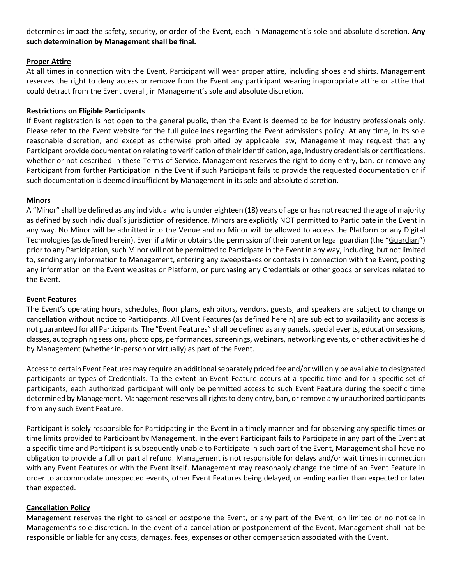determines impact the safety, security, or order of the Event, each in Management's sole and absolute discretion. **Any such determination by Management shall be final.**

### **Proper Attire**

At all times in connection with the Event, Participant will wear proper attire, including shoes and shirts. Management reserves the right to deny access or remove from the Event any participant wearing inappropriate attire or attire that could detract from the Event overall, in Management's sole and absolute discretion.

### **Restrictions on Eligible Participants**

If Event registration is not open to the general public, then the Event is deemed to be for industry professionals only. Please refer to the Event website for the full guidelines regarding the Event admissions policy. At any time, in its sole reasonable discretion, and except as otherwise prohibited by applicable law, Management may request that any Participant provide documentation relating to verification of their identification, age, industry credentials or certifications, whether or not described in these Terms of Service. Management reserves the right to deny entry, ban, or remove any Participant from further Participation in the Event if such Participant fails to provide the requested documentation or if such documentation is deemed insufficient by Management in its sole and absolute discretion.

### **Minors**

A "Minor" shall be defined as any individual who is under eighteen (18) years of age or has not reached the age of majority as defined by such individual's jurisdiction of residence. Minors are explicitly NOT permitted to Participate in the Event in any way. No Minor will be admitted into the Venue and no Minor will be allowed to access the Platform or any Digital Technologies (as defined herein). Even if a Minor obtains the permission of their parent or legal guardian (the "Guardian") prior to any Participation, such Minor will not be permitted to Participate in the Event in any way, including, but not limited to, sending any information to Management, entering any sweepstakes or contests in connection with the Event, posting any information on the Event websites or Platform, or purchasing any Credentials or other goods or services related to the Event.

### **Event Features**

The Event's operating hours, schedules, floor plans, exhibitors, vendors, guests, and speakers are subject to change or cancellation without notice to Participants. All Event Features (as defined herein) are subject to availability and access is not guaranteed for all Participants. The "Event Features" shall be defined as any panels, special events, education sessions, classes, autographing sessions, photo ops, performances, screenings, webinars, networking events, or other activities held by Management (whether in-person or virtually) as part of the Event.

Access to certain Event Features may require an additional separately priced fee and/or will only be available to designated participants or types of Credentials. To the extent an Event Feature occurs at a specific time and for a specific set of participants, each authorized participant will only be permitted access to such Event Feature during the specific time determined by Management. Management reserves all rights to deny entry, ban, or remove any unauthorized participants from any such Event Feature.

Participant is solely responsible for Participating in the Event in a timely manner and for observing any specific times or time limits provided to Participant by Management. In the event Participant fails to Participate in any part of the Event at a specific time and Participant is subsequently unable to Participate in such part of the Event, Management shall have no obligation to provide a full or partial refund. Management is not responsible for delays and/or wait times in connection with any Event Features or with the Event itself. Management may reasonably change the time of an Event Feature in order to accommodate unexpected events, other Event Features being delayed, or ending earlier than expected or later than expected.

### **Cancellation Policy**

Management reserves the right to cancel or postpone the Event, or any part of the Event, on limited or no notice in Management's sole discretion. In the event of a cancellation or postponement of the Event, Management shall not be responsible or liable for any costs, damages, fees, expenses or other compensation associated with the Event.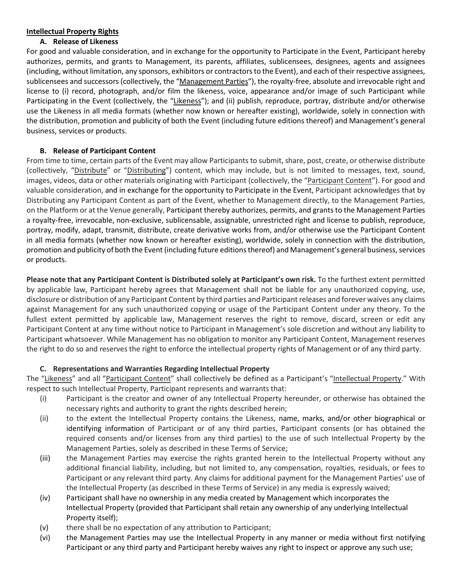### **Intellectual Property Rights**

## **A. Release of Likeness**

For good and valuable consideration, and in exchange for the opportunity to Participate in the Event, Participant hereby authorizes, permits, and grants to Management, its parents, affiliates, sublicensees, designees, agents and assignees (including, without limitation, any sponsors, exhibitors or contractorsto the Event), and each of their respective assignees, sublicensees and successors (collectively, the "Management Parties"), the royalty-free, absolute and irrevocable right and license to (i) record, photograph, and/or film the likeness, voice, appearance and/or image of such Participant while Participating in the Event (collectively, the "Likeness"); and (ii) publish, reproduce, portray, distribute and/or otherwise use the Likeness in all media formats (whether now known or hereafter existing), worldwide, solely in connection with the distribution, promotion and publicity of both the Event (including future editions thereof) and Management's general business, services or products.

# **B. Release of Participant Content**

From time to time, certain parts of the Event may allow Participants to submit, share, post, create, or otherwise distribute (collectively, "Distribute" or "Distributing") content, which may include, but is not limited to messages, text, sound, images, videos, data or other materials originating with Participant (collectively, the "Participant Content"). For good and valuable consideration, and in exchange for the opportunity to Participate in the Event, Participant acknowledges that by Distributing any Participant Content as part of the Event, whether to Management directly, to the Management Parties, on the Platform or at the Venue generally, Participant thereby authorizes, permits, and grants to the Management Parties a royalty-free, irrevocable, non-exclusive, sublicensable, assignable, unrestricted right and license to publish, reproduce, portray, modify, adapt, transmit, distribute, create derivative works from, and/or otherwise use the Participant Content in all media formats (whether now known or hereafter existing), worldwide, solely in connection with the distribution, promotion and publicity of both the Event (including future editions thereof) and Management's general business, services or products.

**Please note that any Participant Content is Distributed solely at Participant's own risk.** To the furthest extent permitted by applicable law, Participant hereby agrees that Management shall not be liable for any unauthorized copying, use, disclosure or distribution of any Participant Content by third parties and Participant releases and forever waives any claims against Management for any such unauthorized copying or usage of the Participant Content under any theory. To the fullest extent permitted by applicable law, Management reserves the right to remove, discard, screen or edit any Participant Content at any time without notice to Participant in Management's sole discretion and without any liability to Participant whatsoever. While Management has no obligation to monitor any Participant Content, Management reserves the right to do so and reserves the right to enforce the intellectual property rights of Management or of any third party.

## **C. Representations and Warranties Regarding Intellectual Property**

The "Likeness" and all "Participant Content" shall collectively be defined as a Participant's "Intellectual Property." With respect to such Intellectual Property, Participant represents and warrants that:

- (i) Participant is the creator and owner of any Intellectual Property hereunder, or otherwise has obtained the necessary rights and authority to grant the rights described herein;
- (ii) to the extent the Intellectual Property contains the Likeness, name, marks, and/or other biographical or identifying information of Participant or of any third parties, Participant consents (or has obtained the required consents and/or licenses from any third parties) to the use of such Intellectual Property by the Management Parties, solely as described in these Terms of Service;
- (iii) the Management Parties may exercise the rights granted herein to the Intellectual Property without any additional financial liability, including, but not limited to, any compensation, royalties, residuals, or fees to Participant or any relevant third party. Any claims for additional payment for the Management Parties' use of the Intellectual Property (as described in these Terms of Service) in any media is expressly waived;
- (iv) Participant shall have no ownership in any media created by Management which incorporates the Intellectual Property (provided that Participant shall retain any ownership of any underlying Intellectual Property itself);
- (v) there shall be no expectation of any attribution to Participant;
- (vi) the Management Parties may use the Intellectual Property in any manner or media without first notifying Participant or any third party and Participant hereby waives any right to inspect or approve any such use;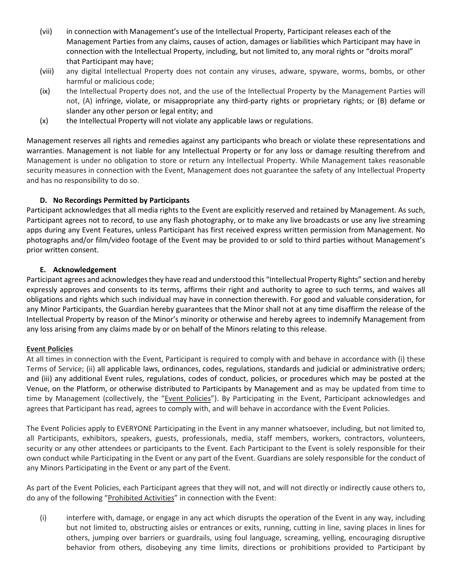- (vii) in connection with Management's use of the Intellectual Property, Participant releases each of the Management Parties from any claims, causes of action, damages or liabilities which Participant may have in connection with the Intellectual Property, including, but not limited to, any moral rights or "droits moral" that Participant may have;
- (viii) any digital Intellectual Property does not contain any viruses, adware, spyware, worms, bombs, or other harmful or malicious code;
- (ix) the Intellectual Property does not, and the use of the Intellectual Property by the Management Parties will not, (A) infringe, violate, or misappropriate any third-party rights or proprietary rights; or (B) defame or slander any other person or legal entity; and
- (x) the Intellectual Property will not violate any applicable laws or regulations.

Management reserves all rights and remedies against any participants who breach or violate these representations and warranties. Management is not liable for any Intellectual Property or for any loss or damage resulting therefrom and Management is under no obligation to store or return any Intellectual Property. While Management takes reasonable security measures in connection with the Event, Management does not guarantee the safety of any Intellectual Property and has no responsibility to do so.

### **D. No Recordings Permitted by Participants**

Participant acknowledges that all media rights to the Event are explicitly reserved and retained by Management. As such, Participant agrees not to record, to use any flash photography, or to make any live broadcasts or use any live streaming apps during any Event Features, unless Participant has first received express written permission from Management. No photographs and/or film/video footage of the Event may be provided to or sold to third parties without Management's prior written consent.

### **E. Acknowledgement**

Participant agrees and acknowledges they have read and understood this "Intellectual Property Rights" section and hereby expressly approves and consents to its terms, affirms their right and authority to agree to such terms, and waives all obligations and rights which such individual may have in connection therewith. For good and valuable consideration, for any Minor Participants, the Guardian hereby guarantees that the Minor shall not at any time disaffirm the release of the Intellectual Property by reason of the Minor's minority or otherwise and hereby agrees to indemnify Management from any loss arising from any claims made by or on behalf of the Minors relating to this release.

## **Event Policies**

At all times in connection with the Event, Participant is required to comply with and behave in accordance with (i) these Terms of Service; (ii) all applicable laws, ordinances, codes, regulations, standards and judicial or administrative orders; and (iii) any additional Event rules, regulations, codes of conduct, policies, or procedures which may be posted at the Venue, on the Platform, or otherwise distributed to Participants by Management and as may be updated from time to time by Management (collectively, the "Event Policies"). By Participating in the Event, Participant acknowledges and agrees that Participant has read, agrees to comply with, and will behave in accordance with the Event Policies.

The Event Policies apply to EVERYONE Participating in the Event in any manner whatsoever, including, but not limited to, all Participants, exhibitors, speakers, guests, professionals, media, staff members, workers, contractors, volunteers, security or any other attendees or participants to the Event. Each Participant to the Event is solely responsible for their own conduct while Participating in the Event or any part of the Event. Guardians are solely responsible for the conduct of any Minors Participating in the Event or any part of the Event.

As part of the Event Policies, each Participant agrees that they will not, and will not directly or indirectly cause others to, do any of the following "Prohibited Activities" in connection with the Event:

(i) interfere with, damage, or engage in any act which disrupts the operation of the Event in any way, including but not limited to, obstructing aisles or entrances or exits, running, cutting in line, saving places in lines for others, jumping over barriers or guardrails, using foul language, screaming, yelling, encouraging disruptive behavior from others, disobeying any time limits, directions or prohibitions provided to Participant by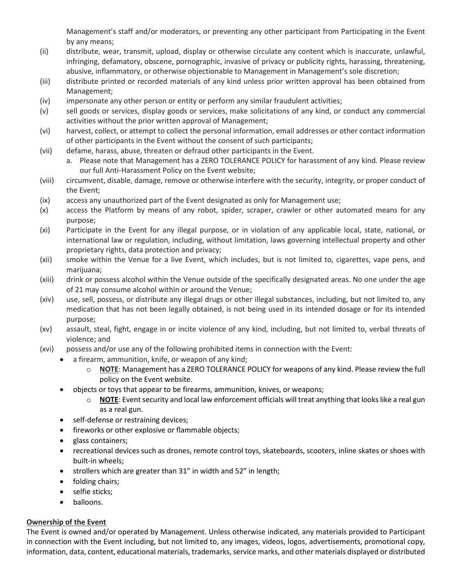Management's staff and/or moderators, or preventing any other participant from Participating in the Event by any means;

- (ii) distribute, wear, transmit, upload, display or otherwise circulate any content which is inaccurate, unlawful, infringing, defamatory, obscene, pornographic, invasive of privacy or publicity rights, harassing, threatening, abusive, inflammatory, or otherwise objectionable to Management in Management's sole discretion;
- (iii) distribute printed or recorded materials of any kind unless prior written approval has been obtained from Management;
- (iv) impersonate any other person or entity or perform any similar fraudulent activities;
- (v) sell goods or services, display goods or services, make solicitations of any kind, or conduct any commercial activities without the prior written approval of Management;
- (vi) harvest, collect, or attempt to collect the personal information, email addresses or other contact information of other participants in the Event without the consent of such participants;
- (vii) defame, harass, abuse, threaten or defraud other participants in the Event.
	- a. Please note that Management has a ZERO TOLERANCE POLICY for harassment of any kind. Please review our full Anti-Harassment Policy on the Event website;
- (viii) circumvent, disable, damage, remove or otherwise interfere with the security, integrity, or proper conduct of the Event;
- (ix) access any unauthorized part of the Event designated as only for Management use;
- (x) access the Platform by means of any robot, spider, scraper, crawler or other automated means for any purpose;
- (xi) Participate in the Event for any illegal purpose, or in violation of any applicable local, state, national, or international law or regulation, including, without limitation, laws governing intellectual property and other proprietary rights, data protection and privacy;
- (xii) smoke within the Venue for a live Event, which includes, but is not limited to, cigarettes, vape pens, and marijuana;
- (xiii) drink or possess alcohol within the Venue outside of the specifically designated areas. No one under the age of 21 may consume alcohol within or around the Venue;
- (xiv) use, sell, possess, or distribute any illegal drugs or other illegal substances, including, but not limited to, any medication that has not been legally obtained, is not being used in its intended dosage or for its intended purpose;
- (xv) assault, steal, fight, engage in or incite violence of any kind, including, but not limited to, verbal threats of violence; and
- (xvi) possess and/or use any of the following prohibited items in connection with the Event:
	- a firearm, ammunition, knife, or weapon of any kind;
		- o **NOTE**: Management has a ZERO TOLERANCE POLICY for weapons of any kind. Please review the full policy on the Event website.
		- objects or toys that appear to be firearms, ammunition, knives, or weapons;
			- o **NOTE**: Event security and local law enforcement officials will treat anything that looks like a real gun as a real gun.
		- self-defense or restraining devices;
		- fireworks or other explosive or flammable objects;
		- glass containers;
		- recreational devices such as drones, remote control toys, skateboards, scooters, inline skates or shoes with built-in wheels;
		- strollers which are greater than 31" in width and 52" in length;
		- folding chairs;
		- selfie sticks;
		- balloons.

### **Ownership of the Event**

The Event is owned and/or operated by Management. Unless otherwise indicated, any materials provided to Participant in connection with the Event including, but not limited to, any images, videos, logos, advertisements, promotional copy, information, data, content, educational materials, trademarks, service marks, and other materials displayed or distributed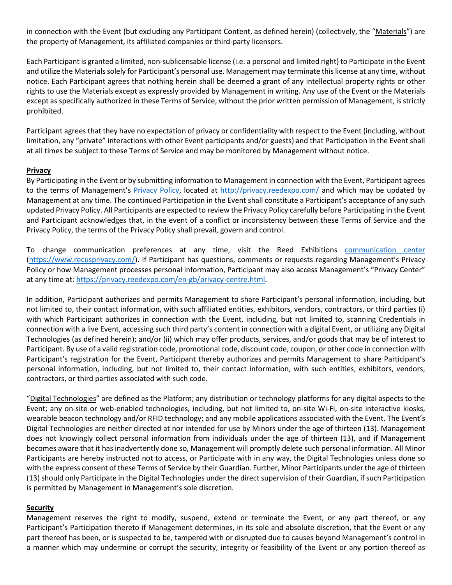in connection with the Event (but excluding any Participant Content, as defined herein) (collectively, the "Materials") are the property of Management, its affiliated companies or third-party licensors.

Each Participant is granted a limited, non-sublicensable license (i.e. a personal and limited right) to Participate in the Event and utilize the Materials solely for Participant's personal use. Management may terminate this license at any time, without notice. Each Participant agrees that nothing herein shall be deemed a grant of any intellectual property rights or other rights to use the Materials except as expressly provided by Management in writing. Any use of the Event or the Materials except as specifically authorized in these Terms of Service, without the prior written permission of Management, is strictly prohibited.

Participant agrees that they have no expectation of privacy or confidentiality with respect to the Event (including, without limitation, any "private" interactions with other Event participants and/or guests) and that Participation in the Event shall at all times be subject to these Terms of Service and may be monitored by Management without notice.

### **Privacy**

By Participating in the Event or by submitting information to Management in connection with the Event, Participant agrees to the terms of Management's [Privacy Policy,](https://privacy.reedexpo.com/en-us.html) located at [http://privacy.reedexpo.com/](http://privacy.reedexpo.com/en-us.html) and which may be updated by Management at any time. The continued Participation in the Event shall constitute a Participant's acceptance of any such updated Privacy Policy. All Participants are expected to review the Privacy Policy carefully before Participating in the Event and Participant acknowledges that, in the event of a conflict or inconsistency between these Terms of Service and the Privacy Policy, the terms of the Privacy Policy shall prevail, govern and control.

To change communication preferences at any time, visit the Reed Exhibitions [communication center](https://www.recusprivacy.com/) [\(https://www.recusprivacy.com/\)](https://www.recusprivacy.com/). If Participant has questions, comments or requests regarding Management's Privacy Policy or how Management processes personal information, Participant may also access Management's "Privacy Center" at any time at: [https://privacy.reedexpo.com/en-gb/privacy-centre.html.](https://privacy.reedexpo.com/en-gb/privacy-centre.html)

In addition, Participant authorizes and permits Management to share Participant's personal information, including, but not limited to, their contact information, with such affiliated entities, exhibitors, vendors, contractors, or third parties (i) with which Participant authorizes in connection with the Event, including, but not limited to, scanning Credentials in connection with a live Event, accessing such third party's content in connection with a digital Event, or utilizing any Digital Technologies (as defined herein); and/or (ii) which may offer products, services, and/or goods that may be of interest to Participant. By use of a valid registration code, promotional code, discount code, coupon, or other code in connection with Participant's registration for the Event, Participant thereby authorizes and permits Management to share Participant's personal information, including, but not limited to, their contact information, with such entities, exhibitors, vendors, contractors, or third parties associated with such code.

"Digital Technologies" are defined as the Platform; any distribution or technology platforms for any digital aspects to the Event; any on-site or web-enabled technologies, including, but not limited to, on-site Wi-Fi, on-site interactive kiosks, wearable beacon technology and/or RFID technology; and any mobile applications associated with the Event. The Event's Digital Technologies are neither directed at nor intended for use by Minors under the age of thirteen (13). Management does not knowingly collect personal information from individuals under the age of thirteen (13), and if Management becomes aware that it has inadvertently done so, Management will promptly delete such personal information. All Minor Participants are hereby instructed not to access, or Participate with in any way, the Digital Technologies unless done so with the express consent of these Terms of Service by their Guardian. Further, Minor Participants under the age of thirteen (13) should only Participate in the Digital Technologies under the direct supervision of their Guardian, if such Participation is permitted by Management in Management's sole discretion.

### **Security**

Management reserves the right to modify, suspend, extend or terminate the Event, or any part thereof, or any Participant's Participation thereto if Management determines, in its sole and absolute discretion, that the Event or any part thereof has been, or is suspected to be, tampered with or disrupted due to causes beyond Management's control in a manner which may undermine or corrupt the security, integrity or feasibility of the Event or any portion thereof as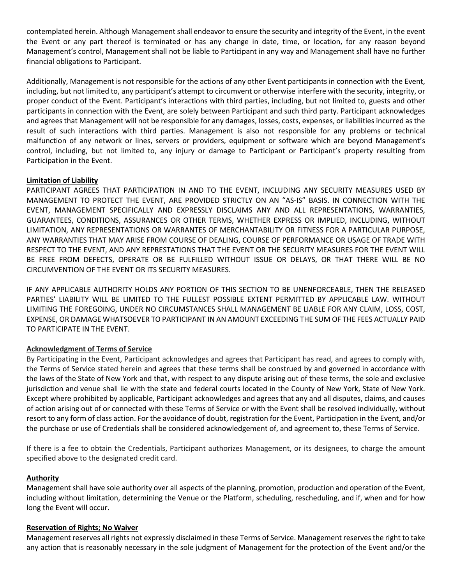contemplated herein. Although Management shall endeavor to ensure the security and integrity of the Event, in the event the Event or any part thereof is terminated or has any change in date, time, or location, for any reason beyond Management's control, Management shall not be liable to Participant in any way and Management shall have no further financial obligations to Participant.

Additionally, Management is not responsible for the actions of any other Event participants in connection with the Event, including, but not limited to, any participant's attempt to circumvent or otherwise interfere with the security, integrity, or proper conduct of the Event. Participant's interactions with third parties, including, but not limited to, guests and other participants in connection with the Event, are solely between Participant and such third party. Participant acknowledges and agrees that Management will not be responsible for any damages, losses, costs, expenses, or liabilities incurred as the result of such interactions with third parties. Management is also not responsible for any problems or technical malfunction of any network or lines, servers or providers, equipment or software which are beyond Management's control, including, but not limited to, any injury or damage to Participant or Participant's property resulting from Participation in the Event.

### **Limitation of Liability**

PARTICIPANT AGREES THAT PARTICIPATION IN AND TO THE EVENT, INCLUDING ANY SECURITY MEASURES USED BY MANAGEMENT TO PROTECT THE EVENT, ARE PROVIDED STRICTLY ON AN "AS-IS" BASIS. IN CONNECTION WITH THE EVENT, MANAGEMENT SPECIFICALLY AND EXPRESSLY DISCLAIMS ANY AND ALL REPRESENTATIONS, WARRANTIES, GUARANTEES, CONDITIONS, ASSURANCES OR OTHER TERMS, WHETHER EXPRESS OR IMPLIED, INCLUDING, WITHOUT LIMITATION, ANY REPRESENTATIONS OR WARRANTES OF MERCHANTABILITY OR FITNESS FOR A PARTICULAR PURPOSE, ANY WARRANTIES THAT MAY ARISE FROM COURSE OF DEALING, COURSE OF PERFORMANCE OR USAGE OF TRADE WITH RESPECT TO THE EVENT, AND ANY REPRESTATIONS THAT THE EVENT OR THE SECURITY MEASURES FOR THE EVENT WILL BE FREE FROM DEFECTS, OPERATE OR BE FULFILLED WITHOUT ISSUE OR DELAYS, OR THAT THERE WILL BE NO CIRCUMVENTION OF THE EVENT OR ITS SECURITY MEASURES.

IF ANY APPLICABLE AUTHORITY HOLDS ANY PORTION OF THIS SECTION TO BE UNENFORCEABLE, THEN THE RELEASED PARTIES' LIABILITY WILL BE LIMITED TO THE FULLEST POSSIBLE EXTENT PERMITTED BY APPLICABLE LAW. WITHOUT LIMITING THE FOREGOING, UNDER NO CIRCUMSTANCES SHALL MANAGEMENT BE LIABLE FOR ANY CLAIM, LOSS, COST, EXPENSE, OR DAMAGE WHATSOEVER TO PARTICIPANT IN AN AMOUNT EXCEEDING THE SUM OF THE FEES ACTUALLY PAID TO PARTICIPATE IN THE EVENT.

## **Acknowledgment of Terms of Service**

By Participating in the Event, Participant acknowledges and agrees that Participant has read, and agrees to comply with, the Terms of Service stated herein and agrees that these terms shall be construed by and governed in accordance with the laws of the State of New York and that, with respect to any dispute arising out of these terms, the sole and exclusive jurisdiction and venue shall lie with the state and federal courts located in the County of New York, State of New York. Except where prohibited by applicable, Participant acknowledges and agrees that any and all disputes, claims, and causes of action arising out of or connected with these Terms of Service or with the Event shall be resolved individually, without resort to any form of class action. For the avoidance of doubt, registration for the Event, Participation in the Event, and/or the purchase or use of Credentials shall be considered acknowledgement of, and agreement to, these Terms of Service.

If there is a fee to obtain the Credentials, Participant authorizes Management, or its designees, to charge the amount specified above to the designated credit card.

### **Authority**

Management shall have sole authority over all aspects of the planning, promotion, production and operation of the Event, including without limitation, determining the Venue or the Platform, scheduling, rescheduling, and if, when and for how long the Event will occur.

### **Reservation of Rights; No Waiver**

Management reserves all rights not expressly disclaimed in these Terms of Service. Management reserves the right to take any action that is reasonably necessary in the sole judgment of Management for the protection of the Event and/or the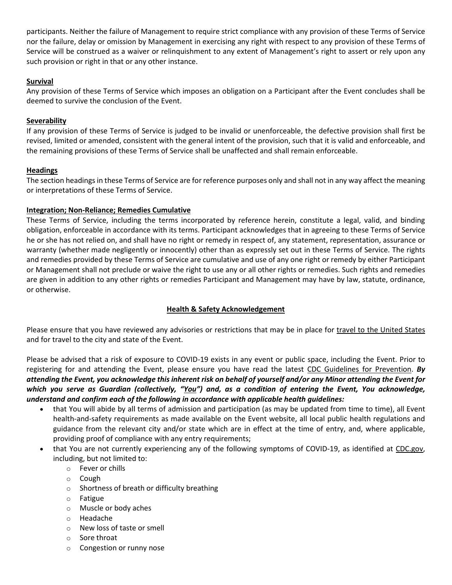participants. Neither the failure of Management to require strict compliance with any provision of these Terms of Service nor the failure, delay or omission by Management in exercising any right with respect to any provision of these Terms of Service will be construed as a waiver or relinquishment to any extent of Management's right to assert or rely upon any such provision or right in that or any other instance.

## **Survival**

Any provision of these Terms of Service which imposes an obligation on a Participant after the Event concludes shall be deemed to survive the conclusion of the Event.

### **Severability**

If any provision of these Terms of Service is judged to be invalid or unenforceable, the defective provision shall first be revised, limited or amended, consistent with the general intent of the provision, such that it is valid and enforceable, and the remaining provisions of these Terms of Service shall be unaffected and shall remain enforceable.

### **Headings**

The section headings in these Terms of Service are for reference purposes only and shall not in any way affect the meaning or interpretations of these Terms of Service.

### **Integration; Non-Reliance; Remedies Cumulative**

These Terms of Service, including the terms incorporated by reference herein, constitute a legal, valid, and binding obligation, enforceable in accordance with its terms. Participant acknowledges that in agreeing to these Terms of Service he or she has not relied on, and shall have no right or remedy in respect of, any statement, representation, assurance or warranty (whether made negligently or innocently) other than as expressly set out in these Terms of Service. The rights and remedies provided by these Terms of Service are cumulative and use of any one right or remedy by either Participant or Management shall not preclude or waive the right to use any or all other rights or remedies. Such rights and remedies are given in addition to any other rights or remedies Participant and Management may have by law, statute, ordinance, or otherwise.

## **Health & Safety Acknowledgement**

Please ensure that you have reviewed any advisories or restrictions that may be in place for [travel to the United States](https://travel.state.gov/content/travel/en/traveladvisories/ea/covid-19-information.html) and for travel to the city and state of the Event.

Please be advised that a risk of exposure to COVID-19 exists in any event or public space, including the Event. Prior to registering for and attending the Event, please ensure you have read the latest [CDC Guidelines for Prevention.](https://www.cdc.gov/coronavirus/2019-ncov/prevent-getting-sick/prevention.html) *By attending the Event, you acknowledge this inherent risk on behalf of yourself and/or any Minor attending the Event for which you serve as Guardian (collectively, "You") and, as a condition of entering the Event, You acknowledge, understand and confirm each of the following in accordance with applicable health guidelines:*

- that You will abide by all terms of admission and participation (as may be updated from time to time), all Event health-and-safety requirements as made available on the Event website, all local public health regulations and guidance from the relevant city and/or state which are in effect at the time of entry, and, where applicable, providing proof of compliance with any entry requirements;
- that You are not currently experiencing any of the following symptoms of COVID-19, as identified at CDC.gov, including, but not limited to:
	- o Fever or chills
	- o Cough
	- o Shortness of breath or difficulty breathing
	- o Fatigue
	- o Muscle or body aches
	- o Headache
	- o New loss of taste or smell
	- o Sore throat
	- o Congestion or runny nose